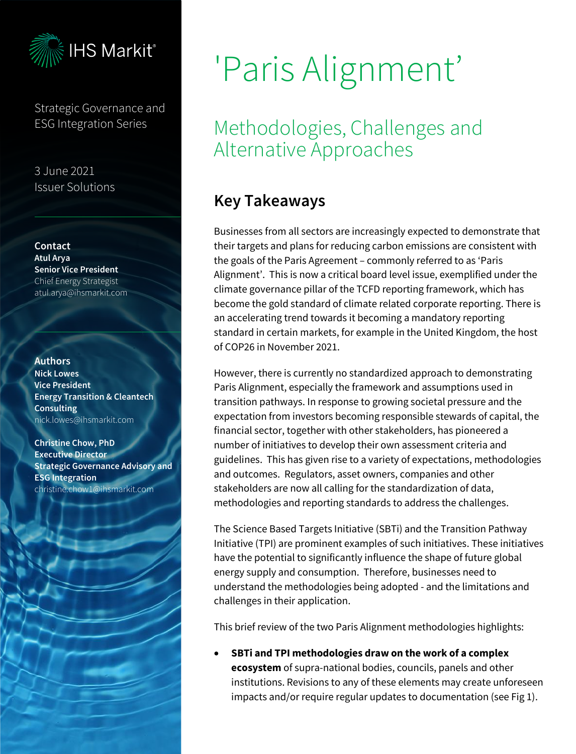

Strategic Governance and ESG Integration Series

3 June 2021 Issuer Solutions

Contact Atul Arya Senior Vice President Chief Energy Strategist atul.arya@ihsmarkit.com

### Authors

Nick Lowes Vice President Energy Transition & Cleantech Consulting nick.lowes@ihsmarkit.com

Christine Chow, PhD Executive Director Strategic Governance Advisory and ESG Integration christine.chow1@ihsmarkit.com

# 'Paris Alignment'

## Methodologies, Challenges and Alternative Approaches

## Key Takeaways

Businesses from all sectors are increasingly expected to demonstrate that their targets and plans for reducing carbon emissions are consistent with the goals of the Paris Agreement – commonly referred to as 'Paris Alignment'. This is now a critical board level issue, exemplified under the climate governance pillar of the TCFD reporting framework, which has become the gold standard of climate related corporate reporting. There is an accelerating trend towards it becoming a mandatory reporting standard in certain markets, for example in the United Kingdom, the host of COP26 in November 2021.

However, there is currently no standardized approach to demonstrating Paris Alignment, especially the framework and assumptions used in transition pathways. In response to growing societal pressure and the expectation from investors becoming responsible stewards of capital, the financial sector, together with other stakeholders, has pioneered a number of initiatives to develop their own assessment criteria and guidelines. This has given rise to a variety of expectations, methodologies and outcomes. Regulators, asset owners, companies and other stakeholders are now all calling for the standardization of data, methodologies and reporting standards to address the challenges.

The Science Based Targets Initiative (SBTi) and the Transition Pathway Initiative (TPI) are prominent examples of such initiatives. These initiatives have the potential to significantly influence the shape of future global energy supply and consumption. Therefore, businesses need to understand the methodologies being adopted - and the limitations and challenges in their application.

This brief review of the two Paris Alignment methodologies highlights:

• **SBTi and TPI methodologies draw on the work of a complex ecosystem** of supra-national bodies, councils, panels and other institutions. Revisions to any of these elements may create unforeseen impacts and/or require regular updates to documentation (see Fig 1).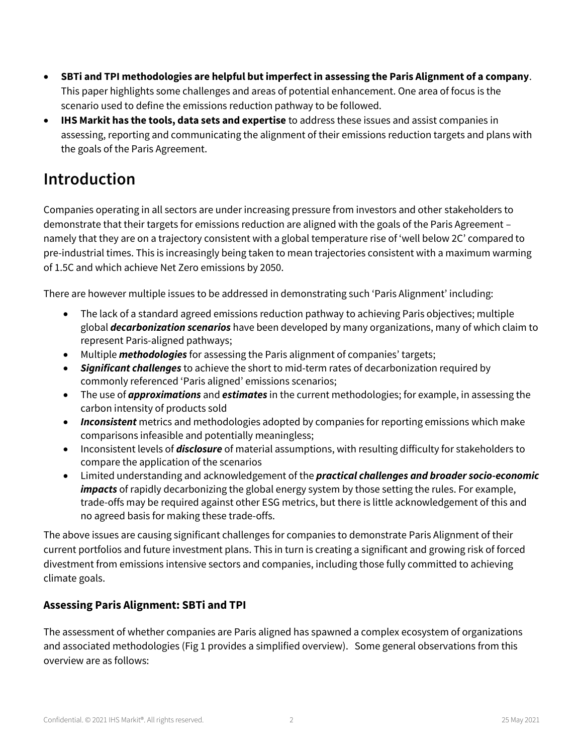- **SBTi and TPI methodologies are helpful but imperfect in assessing the Paris Alignment of a company**. This paper highlights some challenges and areas of potential enhancement. One area of focus is the scenario used to define the emissions reduction pathway to be followed.
- **IHS Markit has the tools, data sets and expertise** to address these issues and assist companies in assessing, reporting and communicating the alignment of their emissions reduction targets and plans with the goals of the Paris Agreement.

## Introduction

Companies operating in all sectors are under increasing pressure from investors and other stakeholders to demonstrate that their targets for emissions reduction are aligned with the goals of the Paris Agreement – namely that they are on a trajectory consistent with a global temperature rise of 'well below 2C' compared to pre-industrial times. This is increasingly being taken to mean trajectories consistent with a maximum warming of 1.5C and which achieve Net Zero emissions by 2050.

There are however multiple issues to be addressed in demonstrating such 'Paris Alignment' including:

- The lack of a standard agreed emissions reduction pathway to achieving Paris objectives; multiple global *decarbonization scenarios* have been developed by many organizations, many of which claim to represent Paris-aligned pathways;
- Multiple *methodologies* for assessing the Paris alignment of companies' targets;
- *Significant challenges* to achieve the short to mid-term rates of decarbonization required by commonly referenced 'Paris aligned' emissions scenarios;
- The use of *approximations* and *estimates* in the current methodologies; for example, in assessing the carbon intensity of products sold
- *Inconsistent* metrics and methodologies adopted by companies for reporting emissions which make comparisons infeasible and potentially meaningless;
- Inconsistent levels of *disclosure* of material assumptions, with resulting difficulty for stakeholders to compare the application of the scenarios
- Limited understanding and acknowledgement of the *practical challenges and broader socio-economic impacts* of rapidly decarbonizing the global energy system by those setting the rules. For example, trade-offs may be required against other ESG metrics, but there is little acknowledgement of this and no agreed basis for making these trade-offs.

The above issues are causing significant challenges for companies to demonstrate Paris Alignment of their current portfolios and future investment plans. This in turn is creating a significant and growing risk of forced divestment from emissions intensive sectors and companies, including those fully committed to achieving climate goals.

#### **Assessing Paris Alignment: SBTi and TPI**

The assessment of whether companies are Paris aligned has spawned a complex ecosystem of organizations and associated methodologies (Fig 1 provides a simplified overview). Some general observations from this overview are as follows: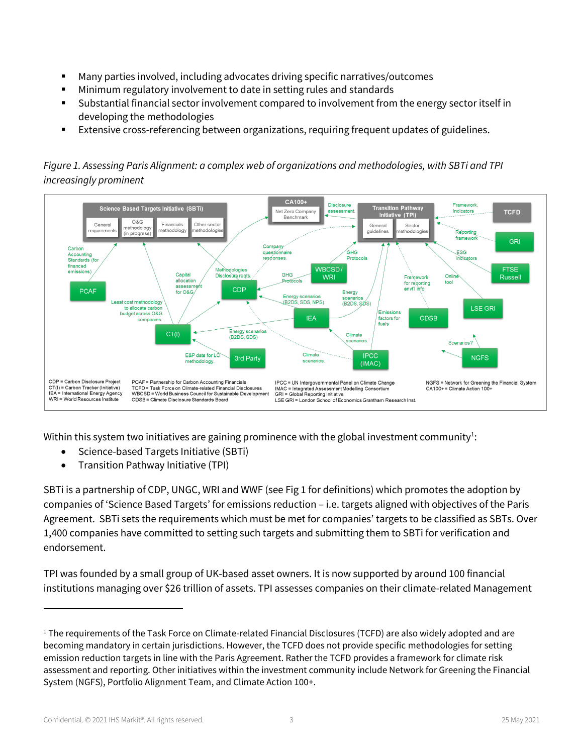- Many parties involved, including advocates driving specific narratives/outcomes
- Minimum regulatory involvement to date in setting rules and standards
- Substantial financial sector involvement compared to involvement from the energy sector itself in developing the methodologies
- Extensive cross-referencing between organizations, requiring frequent updates of guidelines.

#### *Figure 1. Assessing Paris Alignment: a complex web of organizations and methodologies, with SBTi and TPI increasingly prominent*



Within this system two initiatives are gaining prominence with the global investment community<sup>1</sup>:

- Science-based Targets Initiative (SBTi)
- Transition Pathway Initiative (TPI)

SBTi is a partnership of CDP, UNGC, WRI and WWF (see Fig 1 for definitions) which promotes the adoption by companies of 'Science Based Targets' for emissions reduction – i.e. targets aligned with objectives of the Paris Agreement. SBTi sets the requirements which must be met for companies' targets to be classified as SBTs. Over 1,400 companies have committed to setting such targets and submitting them to SBTi for verification and endorsement.

TPI was founded by a small group of UK-based asset owners. It is now supported by around 100 financial institutions managing over \$26 trillion of assets. TPI assesses companies on their climate-related Management

<sup>&</sup>lt;sup>1</sup> The requirements of the Task Force on Climate-related Financial Disclosures (TCFD) are also widely adopted and are becoming mandatory in certain jurisdictions. However, the TCFD does not provide specific methodologies for setting emission reduction targets in line with the Paris Agreement. Rather the TCFD provides a framework for climate risk assessment and reporting. Other initiatives within the investment community include Network for Greening the Financial System (NGFS), Portfolio Alignment Team, and Climate Action 100+.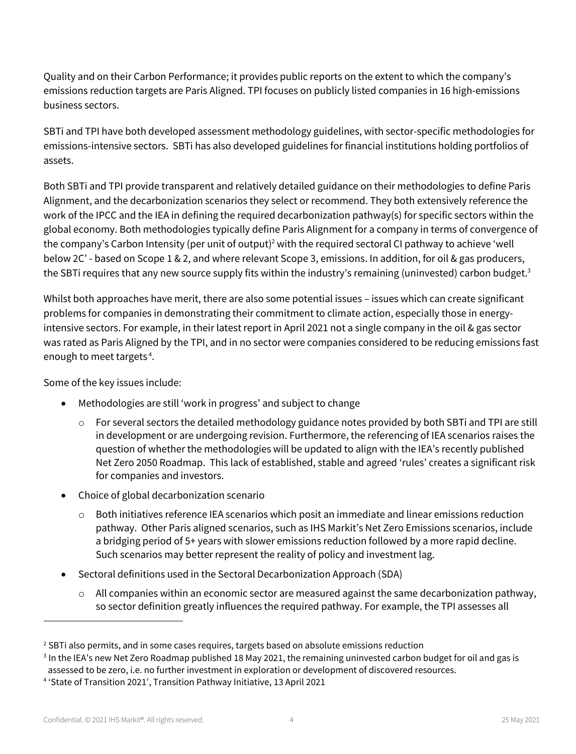Quality and on their Carbon Performance; it provides public reports on the extent to which the company's emissions reduction targets are Paris Aligned. TPI focuses on publicly listed companies in 16 high-emissions business sectors.

SBTi and TPI have both developed assessment methodology guidelines, with sector-specific methodologies for emissions-intensive sectors. SBTi has also developed guidelines for financial institutions holding portfolios of assets.

Both SBTi and TPI provide transparent and relatively detailed guidance on their methodologies to define Paris Alignment, and the decarbonization scenarios they select or recommend. They both extensively reference the work of the IPCC and the IEA in defining the required decarbonization pathway(s) for specific sectors within the global economy. Both methodologies typically define Paris Alignment for a company in terms of convergence of the company's Carbon Intensity (per unit of output) <sup>2</sup> with the required sectoral CI pathway to achieve 'well below 2C' - based on Scope 1 & 2, and where relevant Scope 3, emissions. In addition, for oil & gas producers, the SBTi requires that any new source supply fits within the industry's remaining (uninvested) carbon budget.<sup>3</sup>

Whilst both approaches have merit, there are also some potential issues – issues which can create significant problems for companies in demonstrating their commitment to climate action, especially those in energyintensive sectors. For example, in their latest report in April 2021 not a single company in the oil & gas sector was rated as Paris Aligned by the TPI, and in no sector were companies considered to be reducing emissions fast enough to meet targets<sup>4</sup>.

Some of the key issues include:

- Methodologies are still 'work in progress' and subject to change
	- o For several sectors the detailed methodology guidance notes provided by both SBTi and TPI are still in development or are undergoing revision. Furthermore, the referencing of IEA scenarios raises the question of whether the methodologies will be updated to align with the IEA's recently published Net Zero 2050 Roadmap. This lack of established, stable and agreed 'rules' creates a significant risk for companies and investors.
- Choice of global decarbonization scenario
	- $\circ$  Both initiatives reference IEA scenarios which posit an immediate and linear emissions reduction pathway. Other Paris aligned scenarios, such as IHS Markit's Net Zero Emissions scenarios, include a bridging period of 5+ years with slower emissions reduction followed by a more rapid decline. Such scenarios may better represent the reality of policy and investment lag.
- Sectoral definitions used in the Sectoral Decarbonization Approach (SDA)
	- $\circ$  All companies within an economic sector are measured against the same decarbonization pathway, so sector definition greatly influences the required pathway. For example, the TPI assesses all

<sup>&</sup>lt;sup>2</sup> SBTi also permits, and in some cases requires, targets based on absolute emissions reduction

<sup>3</sup> In the IEA's new Net Zero Roadmap published 18 May 2021, the remaining uninvested carbon budget for oil and gas is assessed to be zero, i.e. no further investment in exploration or development of discovered resources.

<sup>4</sup> 'State of Transition 2021', Transition Pathway Initiative, 13 April 2021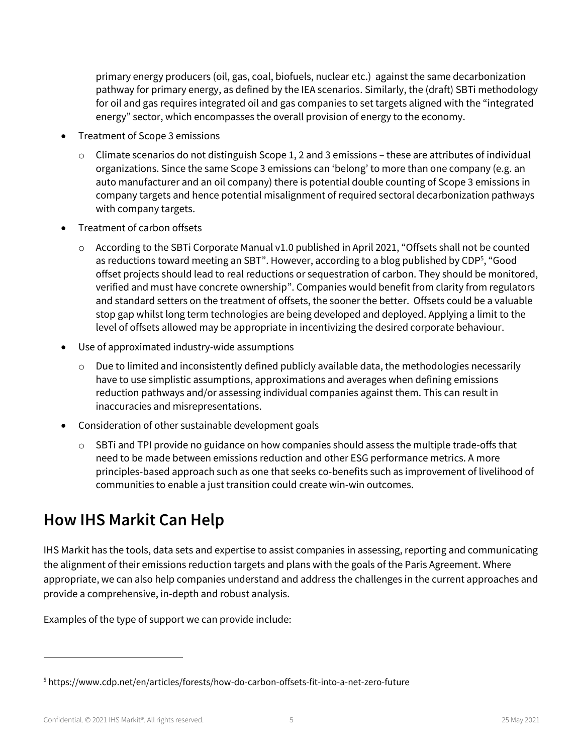primary energy producers (oil, gas, coal, biofuels, nuclear etc.) against the same decarbonization pathway for primary energy, as defined by the IEA scenarios. Similarly, the (draft) SBTi methodology for oil and gas requires integrated oil and gas companies to set targets aligned with the "integrated energy" sector, which encompasses the overall provision of energy to the economy.

- Treatment of Scope 3 emissions
	- $\circ$  Climate scenarios do not distinguish Scope 1, 2 and 3 emissions these are attributes of individual organizations. Since the same Scope 3 emissions can 'belong' to more than one company (e.g. an auto manufacturer and an oil company) there is potential double counting of Scope 3 emissions in company targets and hence potential misalignment of required sectoral decarbonization pathways with company targets.
- Treatment of carbon offsets
	- o According to the SBTi Corporate Manual v1.0 published in April 2021, "Offsets shall not be counted as reductions toward meeting an SBT". However, according to a blog published by CDP<sup>5</sup>, "Good offset projects should lead to real reductions or sequestration of carbon. They should be monitored, verified and must have concrete ownership". Companies would benefit from clarity from regulators and standard setters on the treatment of offsets, the sooner the better. Offsets could be a valuable stop gap whilst long term technologies are being developed and deployed. Applying a limit to the level of offsets allowed may be appropriate in incentivizing the desired corporate behaviour.
- Use of approximated industry-wide assumptions
	- $\circ$  Due to limited and inconsistently defined publicly available data, the methodologies necessarily have to use simplistic assumptions, approximations and averages when defining emissions reduction pathways and/or assessing individual companies against them. This can result in inaccuracies and misrepresentations.
- Consideration of other sustainable development goals
	- $\circ$  SBTi and TPI provide no guidance on how companies should assess the multiple trade-offs that need to be made between emissions reduction and other ESG performance metrics. A more principles-based approach such as one that seeks co-benefits such as improvement of livelihood of communities to enable a just transition could create win-win outcomes.

## How IHS Markit Can Help

IHS Markit has the tools, data sets and expertise to assist companies in assessing, reporting and communicating the alignment of their emissions reduction targets and plans with the goals of the Paris Agreement. Where appropriate, we can also help companies understand and address the challenges in the current approaches and provide a comprehensive, in-depth and robust analysis.

Examples of the type of support we can provide include:

<sup>5</sup> https://www.cdp.net/en/articles/forests/how-do-carbon-offsets-fit-into-a-net-zero-future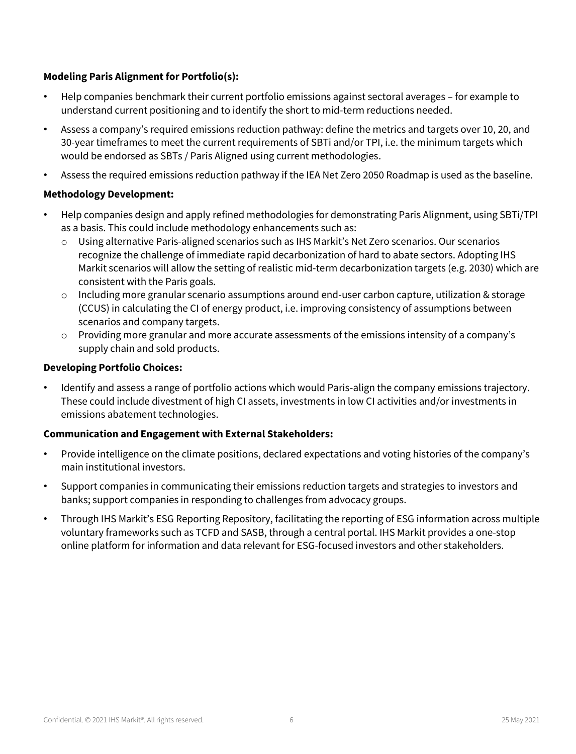#### **Modeling Paris Alignment for Portfolio(s):**

- Help companies benchmark their current portfolio emissions against sectoral averages for example to understand current positioning and to identify the short to mid-term reductions needed.
- Assess a company's required emissions reduction pathway: define the metrics and targets over 10, 20, and 30-year timeframes to meet the current requirements of SBTi and/or TPI, i.e. the minimum targets which would be endorsed as SBTs / Paris Aligned using current methodologies.
- Assess the required emissions reduction pathway if the IEA Net Zero 2050 Roadmap is used as the baseline.

#### **Methodology Development:**

- Help companies design and apply refined methodologies for demonstrating Paris Alignment, using SBTi/TPI as a basis. This could include methodology enhancements such as:
	- o Using alternative Paris-aligned scenarios such as IHS Markit's Net Zero scenarios. Our scenarios recognize the challenge of immediate rapid decarbonization of hard to abate sectors. Adopting IHS Markit scenarios will allow the setting of realistic mid-term decarbonization targets (e.g. 2030) which are consistent with the Paris goals.
	- $\circ$  Including more granular scenario assumptions around end-user carbon capture, utilization & storage (CCUS) in calculating the CI of energy product, i.e. improving consistency of assumptions between scenarios and company targets.
	- $\circ$  Providing more granular and more accurate assessments of the emissions intensity of a company's supply chain and sold products.

#### **Developing Portfolio Choices:**

• Identify and assess a range of portfolio actions which would Paris-align the company emissions trajectory. These could include divestment of high CI assets, investments in low CI activities and/or investments in emissions abatement technologies.

#### **Communication and Engagement with External Stakeholders:**

- Provide intelligence on the climate positions, declared expectations and voting histories of the company's main institutional investors.
- Support companies in communicating their emissions reduction targets and strategies to investors and banks; support companies in responding to challenges from advocacy groups.
- Through IHS Markit's ESG Reporting Repository, facilitating the reporting of ESG information across multiple voluntary frameworks such as TCFD and SASB, through a central portal. IHS Markit provides a one-stop online platform for information and data relevant for ESG-focused investors and other stakeholders.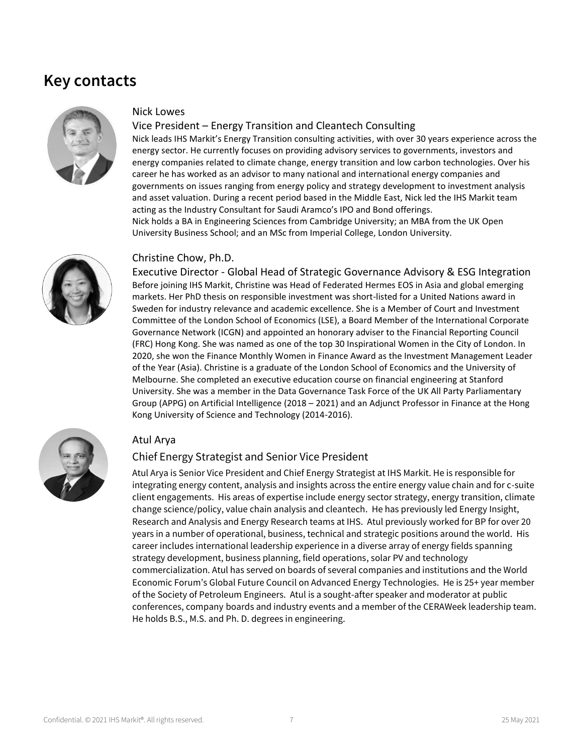## Key contacts



#### Nick Lowes

#### Vice President – Energy Transition and Cleantech Consulting

Nick leads IHS Markit's Energy Transition consulting activities, with over 30 years experience across the energy sector. He currently focuses on providing advisory services to governments, investors and energy companies related to climate change, energy transition and low carbon technologies. Over his career he has worked as an advisor to many national and international energy companies and governments on issues ranging from energy policy and strategy development to investment analysis and asset valuation. During a recent period based in the Middle East, Nick led the IHS Markit team acting as the Industry Consultant for Saudi Aramco's IPO and Bond offerings. Nick holds a BA in Engineering Sciences from Cambridge University; an MBA from the UK Open University Business School; and an MSc from Imperial College, London University.



#### Christine Chow, Ph.D.

Executive Director - Global Head of Strategic Governance Advisory & ESG Integration Before joining IHS Markit, Christine was Head of Federated Hermes EOS in Asia and global emerging markets. Her PhD thesis on responsible investment was short-listed for a United Nations award in Sweden for industry relevance and academic excellence. She is a Member of Court and Investment Committee of the London School of Economics (LSE), a Board Member of the International Corporate Governance Network (ICGN) and appointed an honorary adviser to the Financial Reporting Council (FRC) Hong Kong. She was named as one of the top 30 Inspirational Women in the City of London. In 2020, she won the Finance Monthly Women in Finance Award as the Investment Management Leader of the Year (Asia). Christine is a graduate of the London School of Economics and the University of Melbourne. She completed an executive education course on financial engineering at Stanford University. She was a member in the Data Governance Task Force of the UK All Party Parliamentary Group (APPG) on Artificial Intelligence (2018 – 2021) and an Adjunct Professor in Finance at the Hong Kong University of Science and Technology (2014-2016).



#### Atul Arya

#### Chief Energy Strategist and Senior Vice President

Atul Arya is Senior Vice President and Chief Energy Strategist at IHS Markit. He is responsible for integrating energy content, analysis and insights across the entire energy value chain and for c-suite client engagements. His areas of expertise include energy sector strategy, energy transition, climate change science/policy, value chain analysis and cleantech. He has previously led Energy Insight, Research and Analysis and Energy Research teams at IHS. Atul previously worked for BP for over 20 years in a number of operational, business, technical and strategic positions around the world. His career includes international leadership experience in a diverse array of energy fields spanning strategy development, business planning, field operations, solar PV and technology commercialization. Atul has served on boards of several companies and institutions and the World Economic Forum's Global Future Council on Advanced Energy Technologies. He is 25+ year member of the Society of Petroleum Engineers. Atul is a sought-after speaker and moderator at public conferences, company boards and industry events and a member of the CERAWeek leadership team. He holds B.S., M.S. and Ph. D. degrees in engineering.